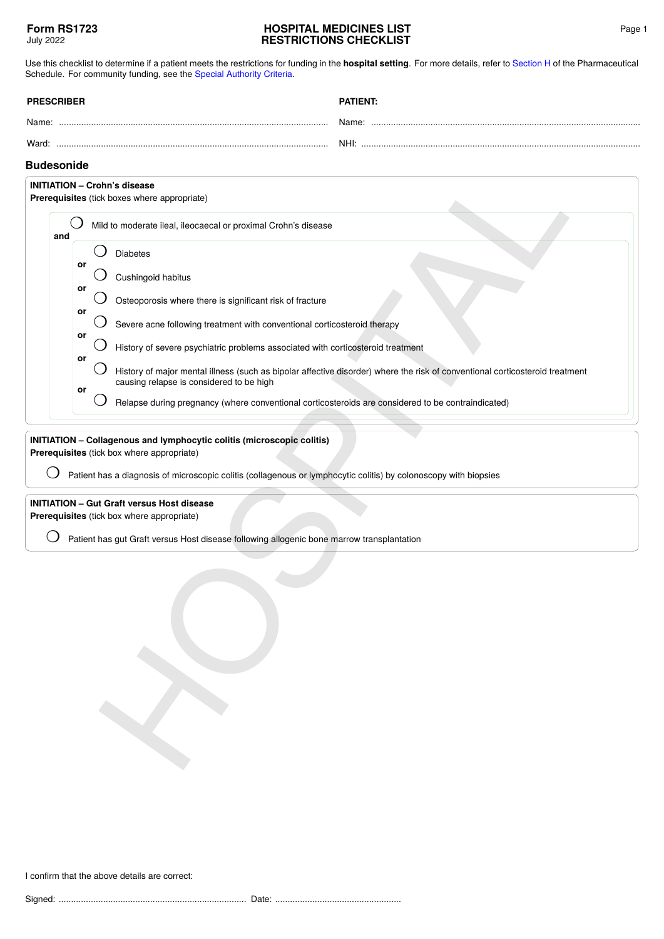## **HOSPITAL MEDICINES LIST RESTRICTIONS CHECKLIST**

Use this checklist to determine if a patient meets the restrictions for funding in the **hospital setting**. For more details, refer to [Section H](https://pharmac.govt.nz/section-h/) of the Pharmaceutical Schedule. For community funding, see the [Special Authority Criteria](https://pharmac.govt.nz/SAForms/).

| <b>PRESCRIBER</b> | <b>PATIENT:</b> |
|-------------------|-----------------|
| Name:             | Name:           |
| Ward:             | NHI:            |

## **Budesonide**

| <b>Budesonide</b> |    |                                                                                                                                                                          |
|-------------------|----|--------------------------------------------------------------------------------------------------------------------------------------------------------------------------|
|                   |    | <b>INITIATION - Crohn's disease</b><br>Prerequisites (tick boxes where appropriate)                                                                                      |
|                   |    |                                                                                                                                                                          |
| and               |    | Mild to moderate ileal, ileocaecal or proximal Crohn's disease                                                                                                           |
|                   |    | <b>Diabetes</b>                                                                                                                                                          |
|                   | or | Cushingoid habitus                                                                                                                                                       |
|                   | or | Osteoporosis where there is significant risk of fracture                                                                                                                 |
|                   | or | Severe acne following treatment with conventional corticosteroid therapy                                                                                                 |
|                   | or | History of severe psychiatric problems associated with corticosteroid treatment                                                                                          |
|                   | or | History of major mental illness (such as bipolar affective disorder) where the risk of conventional corticosteroid treatment<br>causing relapse is considered to be high |
|                   | or | Relapse during pregnancy (where conventional corticosteroids are considered to be contraindicated)                                                                       |
|                   |    |                                                                                                                                                                          |
|                   |    | Patient has a diagnosis of microscopic colitis (collagenous or lymphocytic colitis) by colonoscopy with biopsies                                                         |
|                   |    | <b>INITIATION - Gut Graft versus Host disease</b>                                                                                                                        |
|                   |    | Prerequisites (tick box where appropriate)                                                                                                                               |
|                   |    | Patient has gut Graft versus Host disease following allogenic bone marrow transplantation                                                                                |
|                   |    |                                                                                                                                                                          |
|                   |    |                                                                                                                                                                          |
|                   |    |                                                                                                                                                                          |
|                   |    |                                                                                                                                                                          |
|                   |    |                                                                                                                                                                          |
|                   |    |                                                                                                                                                                          |
|                   |    |                                                                                                                                                                          |
|                   |    |                                                                                                                                                                          |

I confirm that the above details are correct: